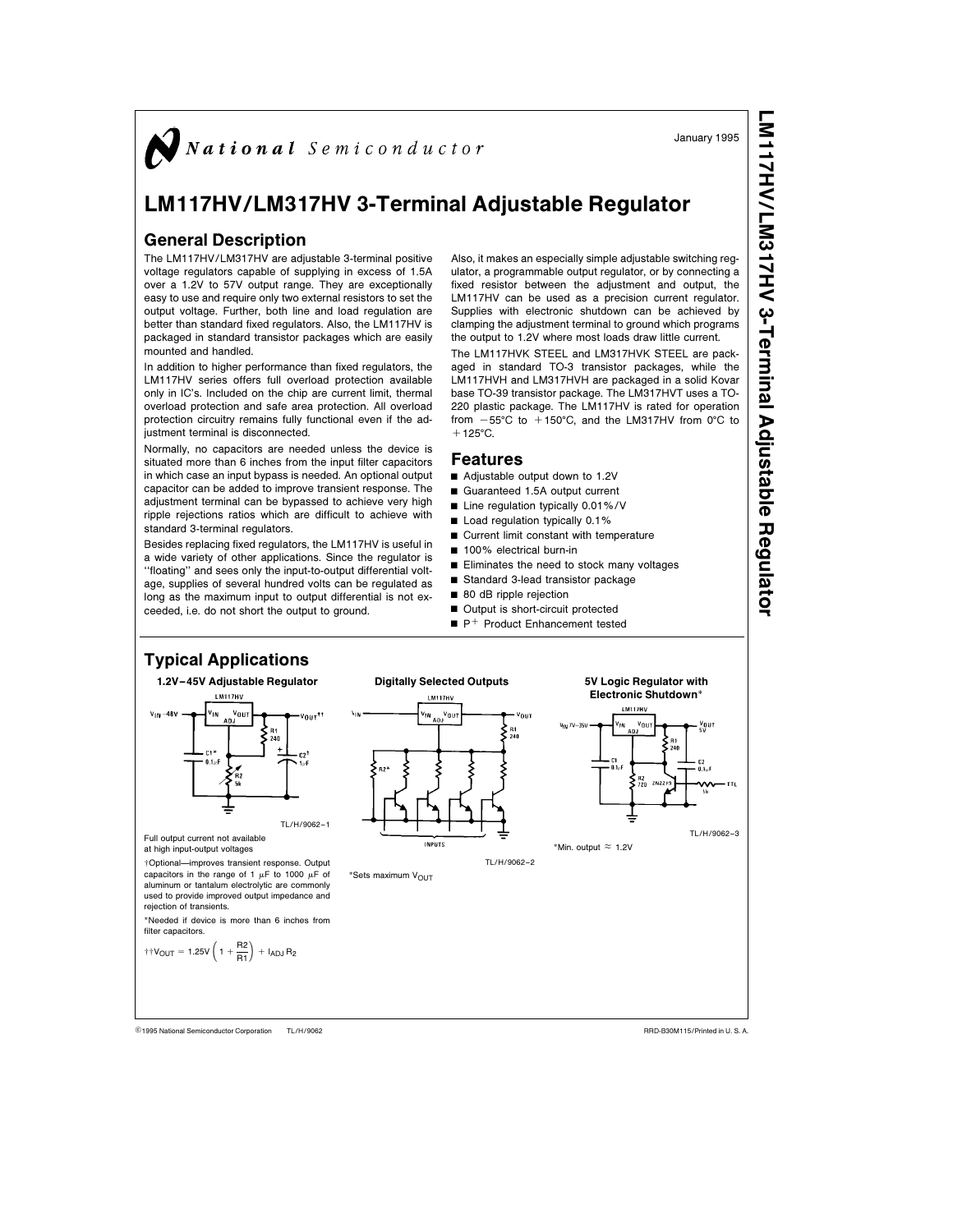$\sum$  National Semiconductor

# LM117HV/LM317HV 3-Terminal Adjustable Regulator

# General Description

The LM117HV/LM317HV are adjustable 3-terminal positive voltage regulators capable of supplying in excess of 1.5A over a 1.2V to 57V output range. They are exceptionally easy to use and require only two external resistors to set the output voltage. Further, both line and load regulation are better than standard fixed regulators. Also, the LM117HV is packaged in standard transistor packages which are easily mounted and handled.

In addition to higher performance than fixed regulators, the LM117HV series offers full overload protection available only in IC's. Included on the chip are current limit, thermal overload protection and safe area protection. All overload protection circuitry remains fully functional even if the adjustment terminal is disconnected.

Normally, no capacitors are needed unless the device is situated more than 6 inches from the input filter capacitors in which case an input bypass is needed. An optional output capacitor can be added to improve transient response. The adjustment terminal can be bypassed to achieve very high ripple rejections ratios which are difficult to achieve with standard 3-terminal regulators.

Besides replacing fixed regulators, the LM117HV is useful in a wide variety of other applications. Since the regulator is ''floating'' and sees only the input-to-output differential voltage, supplies of several hundred volts can be regulated as long as the maximum input to output differential is not exceeded, i.e. do not short the output to ground.

Also, it makes an especially simple adjustable switching regulator, a programmable output regulator, or by connecting a fixed resistor between the adjustment and output, the LM117HV can be used as a precision current regulator. Supplies with electronic shutdown can be achieved by clamping the adjustment terminal to ground which programs the output to 1.2V where most loads draw little current.

The LM117HVK STEEL and LM317HVK STEEL are packaged in standard TO-3 transistor packages, while the LM117HVH and LM317HVH are packaged in a solid Kovar base TO-39 transistor package. The LM317HVT uses a TO-220 plastic package. The LM117HV is rated for operation from  $-55^{\circ}$ C to  $+150^{\circ}$ C, and the LM317HV from 0 $^{\circ}$ C to  $+125^{\circ}$ C.

### Features

- Adjustable output down to 1.2V
- Guaranteed 1.5A output current
- $\blacksquare$  Line regulation typically 0.01%/V
- $\blacksquare$  Load regulation typically 0.1%
- $\blacksquare$  Current limit constant with temperature
- 100% electrical burn-in
- $\blacksquare$  Eliminates the need to stock many voltages
- Standard 3-lead transistor package
- 80 dB ripple rejection
- Output is short-circuit protected
- $\blacksquare$  P<sup>+</sup> Product Enhancement tested



TL/H/9062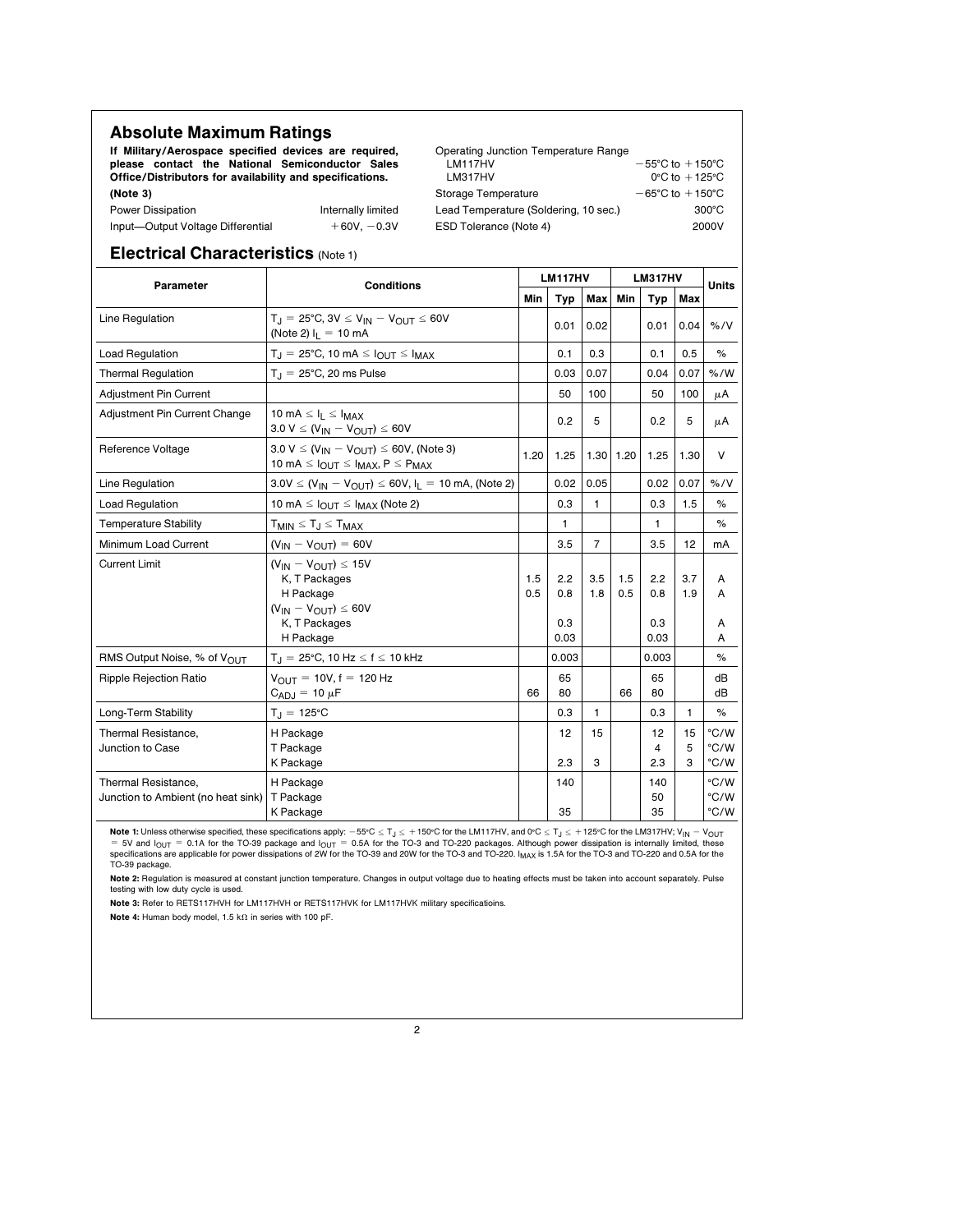| <b>Absolute Maximum Ratings</b>                          |                    |                                       |                                     |  |  |  |  |
|----------------------------------------------------------|--------------------|---------------------------------------|-------------------------------------|--|--|--|--|
| If Military/Aerospace specified devices are required,    |                    | Operating Junction Temperature Range  |                                     |  |  |  |  |
| please contact the National Semiconductor Sales          |                    | LM117HV                               | $-55^{\circ}$ C to $+150^{\circ}$ C |  |  |  |  |
| Office/Distributors for availability and specifications. |                    | LM317HV                               | $0^{\circ}$ C to $+125^{\circ}$ C   |  |  |  |  |
| (Note 3)                                                 |                    | Storage Temperature                   | $-65^{\circ}$ C to $+150^{\circ}$ C |  |  |  |  |
| Power Dissipation                                        | Internally limited | Lead Temperature (Soldering, 10 sec.) | $300^{\circ}$ C                     |  |  |  |  |
| Input-Output Voltage Differential                        | $+60V, -0.3V$      | ESD Tolerance (Note 4)                | 2000V                               |  |  |  |  |

# Electrical Characteristics (Note 1)

| Parameter                                                 | <b>Conditions</b>                                                                                                          | <b>LM117HV</b> |                           |                | <b>LM317HV</b> |                           |              | <b>Units</b>         |
|-----------------------------------------------------------|----------------------------------------------------------------------------------------------------------------------------|----------------|---------------------------|----------------|----------------|---------------------------|--------------|----------------------|
|                                                           |                                                                                                                            |                | <b>Typ</b>                | <b>Max</b>     | <b>Min</b>     | <b>Typ</b>                | Max          |                      |
| Line Regulation                                           | $T_{\text{H}}$ = 25°C, 3V $\leq$ V <sub>IN</sub> - V <sub>OUT</sub> $\leq$ 60V<br>(Note 2) $I_L = 10$ mA                   |                | 0.01                      | 0.02           |                | 0.01                      | 0.04         | % / V                |
| Load Regulation                                           | $T_J = 25^{\circ}$ C, 10 mA $\leq I_{OUT} \leq I_{MAX}$                                                                    |                | 0.1                       | 0.3            |                | 0.1                       | 0.5          | %                    |
| <b>Thermal Regulation</b>                                 | $T_{\text{J}}$ = 25°C, 20 ms Pulse                                                                                         |                | 0.03                      | 0.07           |                | 0.04                      | 0.07         | % /W                 |
| Adjustment Pin Current                                    |                                                                                                                            |                | 50                        | 100            |                | 50                        | 100          | μA                   |
| Adjustment Pin Current Change                             | 10 mA $\leq$ $I_1 \leq$ $I_{MAX}$<br>$3.0 V \leq (V_{IN} - V_{OUT}) \leq 60 V$                                             |                | 0.2                       | 5              |                | 0.2                       | 5            | μA                   |
| Reference Voltage                                         | $3.0 V \leq (V_{IN} - V_{OUIT}) \leq 60V$ , (Note 3)<br>10 mA $\leq$ $I_{OUT} \leq I_{MAX}$ , $P \leq P_{MAX}$             | 1.20           | 1.25                      |                | 1.30 1.20      | 1.25                      | 1.30         | $\vee$               |
| Line Regulation                                           | $3.0V \le (V_{IN} - V_{OUT}) \le 60V, I_L = 10 \text{ mA},$ (Note 2)                                                       |                | 0.02                      | 0.05           |                | 0.02                      | 0.07         | % / V                |
| <b>Load Regulation</b>                                    | 10 mA $\leq$ $I_{\text{OUT}} \leq I_{\text{MAX}}$ (Note 2)                                                                 |                | 0.3                       | 1              |                | 0.3                       | 1.5          | $\%$                 |
| <b>Temperature Stability</b>                              | $T_{MIN} \leq T_J \leq T_{MAX}$                                                                                            |                | 1                         |                |                | 1                         |              | $\%$                 |
| Minimum Load Current                                      | $(V_{IN} - V_{OUT}) = 60V$                                                                                                 |                | 3.5                       | $\overline{7}$ |                | 3.5                       | 12           | mA                   |
| <b>Current Limit</b>                                      | $(V_{IN} - V_{OUIT}) \le 15V$<br>K, T Packages<br>H Package<br>$(V_{IN} - V_{OUIT}) \le 60V$<br>K, T Packages<br>H Package | 1.5<br>0.5     | 2.2<br>0.8<br>0.3<br>0.03 | 3.5<br>1.8     | 1.5<br>0.5     | 2.2<br>0.8<br>0.3<br>0.03 | 3.7<br>1.9   | A<br>A<br>A<br>A     |
| RMS Output Noise, % of VOUT                               | $T_J = 25^{\circ}$ C, 10 Hz $\leq f \leq 10$ kHz                                                                           |                | 0.003                     |                |                | 0.003                     |              | %                    |
| Ripple Rejection Ratio                                    | $V_{OUIT} = 10V, f = 120 Hz$<br>$C_{\text{ADJ}} = 10 \mu F$                                                                | 66             | 65<br>80                  |                | 66             | 65<br>80                  |              | dВ<br>dВ             |
| Long-Term Stability                                       | $T_J = 125^{\circ}C$                                                                                                       |                | 0.3                       | 1              |                | 0.3                       | 1            | %                    |
| Thermal Resistance.<br>Junction to Case                   | H Package<br>T Package<br>K Package                                                                                        |                | 12<br>2.3                 | 15<br>3        |                | 12<br>4<br>2.3            | 15<br>5<br>3 | °C/W<br>°C/W<br>°C/W |
| Thermal Resistance,<br>Junction to Ambient (no heat sink) | H Package<br>T Package<br>K Package                                                                                        |                | 140<br>35                 |                |                | 140<br>50<br>35           |              | °C/W<br>°C/W<br>°C/W |

**Note 1:** Unless otherwise specified, these specifications apply:  $-55^{\circ}$ C  $\leq T_J \leq +150^{\circ}$ C for the LM117HV, and 0°C  $\leq T_J \leq +125^{\circ}$ C for the LM317HV; V<sub>IN</sub>  $-$  V<sub>OUT</sub> = 0.1A for the TO-39 package and  $1_{\text{OUT}} = 0.$ TO-39 package.

Note 2: Regulation is measured at constant junction temperature. Changes in output voltage due to heating effects must be taken into account separately. Pulse testing with low duty cycle is used.

Note 3: Refer to RETS117HVH for LM117HVH or RETS117HVK for LM117HVK military specificatioins.

Note 4: Human body model, 1.5 k $\Omega$  in series with 100 pF.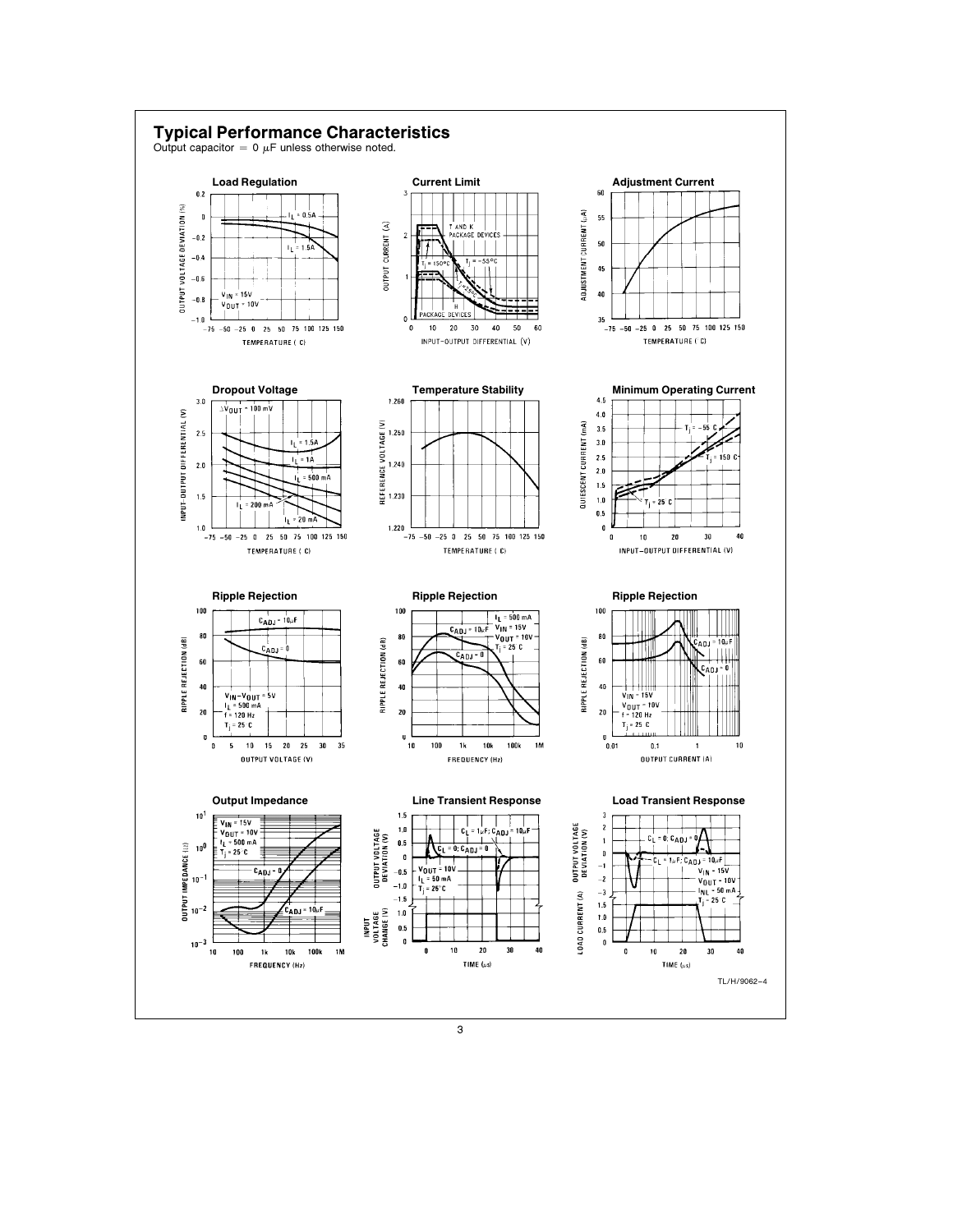

3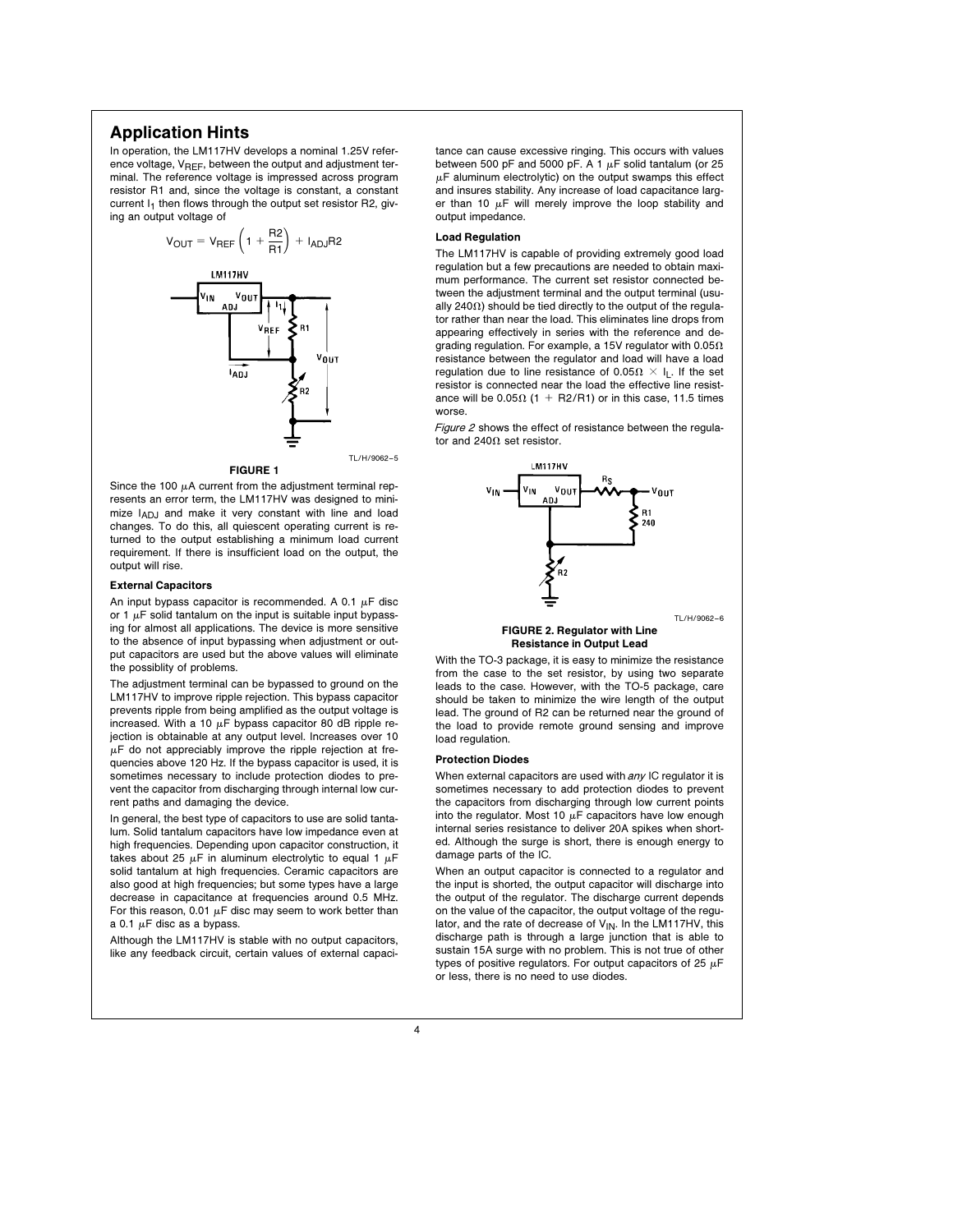# Application Hints

In operation, the LM117HV develops a nominal 1.25V reference voltage,  $V_{REF}$ , between the output and adjustment terminal. The reference voltage is impressed across program resistor R1 and, since the voltage is constant, a constant current  $I_1$  then flows through the output set resistor R2, giving an output voltage of



Since the 100  $\mu$ A current from the adjustment terminal represents an error term, the LM117HV was designed to minimize  $I_{ADJ}$  and make it very constant with line and load changes. To do this, all quiescent operating current is re-

turned to the output establishing a minimum load current requirement. If there is insufficient load on the output, the

### External Capacitors

output will rise.

An input bypass capacitor is recommended. A 0.1  $\mu$ F disc or 1  $\mu$ F solid tantalum on the input is suitable input bypassing for almost all applications. The device is more sensitive to the absence of input bypassing when adjustment or output capacitors are used but the above values will eliminate the possiblity of problems.

The adjustment terminal can be bypassed to ground on the LM117HV to improve ripple rejection. This bypass capacitor prevents ripple from being amplified as the output voltage is increased. With a 10  $\mu$ F bypass capacitor 80 dB ripple rejection is obtainable at any output level. Increases over 10  $\mu$ F do not appreciably improve the ripple rejection at frequencies above 120 Hz. If the bypass capacitor is used, it is sometimes necessary to include protection diodes to prevent the capacitor from discharging through internal low current paths and damaging the device.

In general, the best type of capacitors to use are solid tantalum. Solid tantalum capacitors have low impedance even at high frequencies. Depending upon capacitor construction, it takes about 25  $\mu$ F in aluminum electrolytic to equal 1  $\mu$ F solid tantalum at high frequencies. Ceramic capacitors are also good at high frequencies; but some types have a large decrease in capacitance at frequencies around 0.5 MHz. For this reason, 0.01  $\mu$ F disc may seem to work better than a 0.1  $\mu$ F disc as a bypass.

Although the LM117HV is stable with no output capacitors, like any feedback circuit, certain values of external capacitance can cause excessive ringing. This occurs with values between 500 pF and 5000 pF. A 1  $\mu$ F solid tantalum (or 25  $\mu$ F aluminum electrolytic) on the output swamps this effect and insures stability. Any increase of load capacitance larger than 10  $\mu$ F will merely improve the loop stability and output impedance.

### Load Regulation

The LM117HV is capable of providing extremely good load regulation but a few precautions are needed to obtain maximum performance. The current set resistor connected between the adjustment terminal and the output terminal (usually 240 $\Omega$ ) should be tied directly to the output of the regulator rather than near the load. This eliminates line drops from appearing effectively in series with the reference and degrading regulation. For example, a 15V regulator with  $0.05\Omega$ resistance between the regulator and load will have a load regulation due to line resistance of 0.05 $\Omega \times I_L$ . If the set resistor is connected near the load the effective line resistance will be 0.05 $\Omega$  (1 + R2/R1) or in this case, 11.5 times worse.

Figure 2 shows the effect of resistance between the regulator and 240 $\Omega$  set resistor.



### FIGURE 2. Regulator with Line Resistance in Output Lead

With the TO-3 package, it is easy to minimize the resistance from the case to the set resistor, by using two separate leads to the case. However, with the TO-5 package, care should be taken to minimize the wire length of the output lead. The ground of R2 can be returned near the ground of the load to provide remote ground sensing and improve load regulation.

### Protection Diodes

When external capacitors are used with any IC regulator it is sometimes necessary to add protection diodes to prevent the capacitors from discharging through low current points into the regulator. Most 10  $\mu$ F capacitors have low enough internal series resistance to deliver 20A spikes when shorted. Although the surge is short, there is enough energy to damage parts of the IC.

When an output capacitor is connected to a regulator and the input is shorted, the output capacitor will discharge into the output of the regulator. The discharge current depends on the value of the capacitor, the output voltage of the regulator, and the rate of decrease of  $V_{IN}$ . In the LM117HV, this discharge path is through a large junction that is able to sustain 15A surge with no problem. This is not true of other types of positive regulators. For output capacitors of 25  $\mu$ F or less, there is no need to use diodes.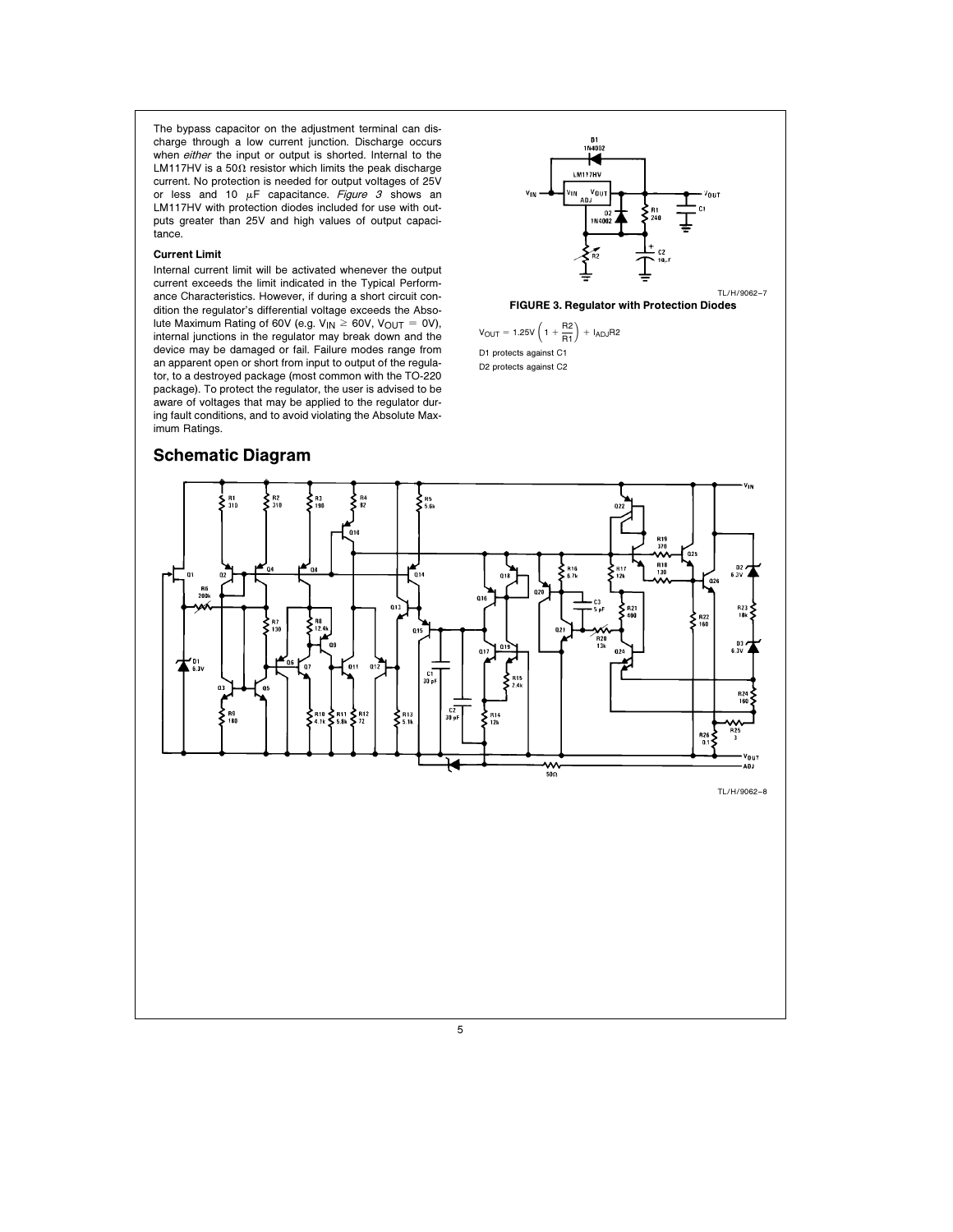The bypass capacitor on the adjustment terminal can discharge through a low current junction. Discharge occurs when either the input or output is shorted. Internal to the LM117HV is a 50 $\Omega$  resistor which limits the peak discharge current. No protection is needed for output voltages of 25V or less and 10  $\mu$ F capacitance. Figure 3 shows an LM117HV with protection diodes included for use with outputs greater than 25V and high values of output capacitance.

## Current Limit

Internal current limit will be activated whenever the output current exceeds the limit indicated in the Typical Performance Characteristics. However, if during a short circuit condition the regulator's differential voltage exceeds the Absolute Maximum Rating of 60V (e.g.  $V_{IN} \ge 60V$ ,  $V_{OUT} = 0V$ ), internal junctions in the regulator may break down and the device may be damaged or fail. Failure modes range from an apparent open or short from input to output of the regulator, to a destroyed package (most common with the TO-220 package). To protect the regulator, the user is advised to be aware of voltages that may be applied to the regulator during fault conditions, and to avoid violating the Absolute Maximum Ratings.



D2 protects against C2

# Schematic Diagram

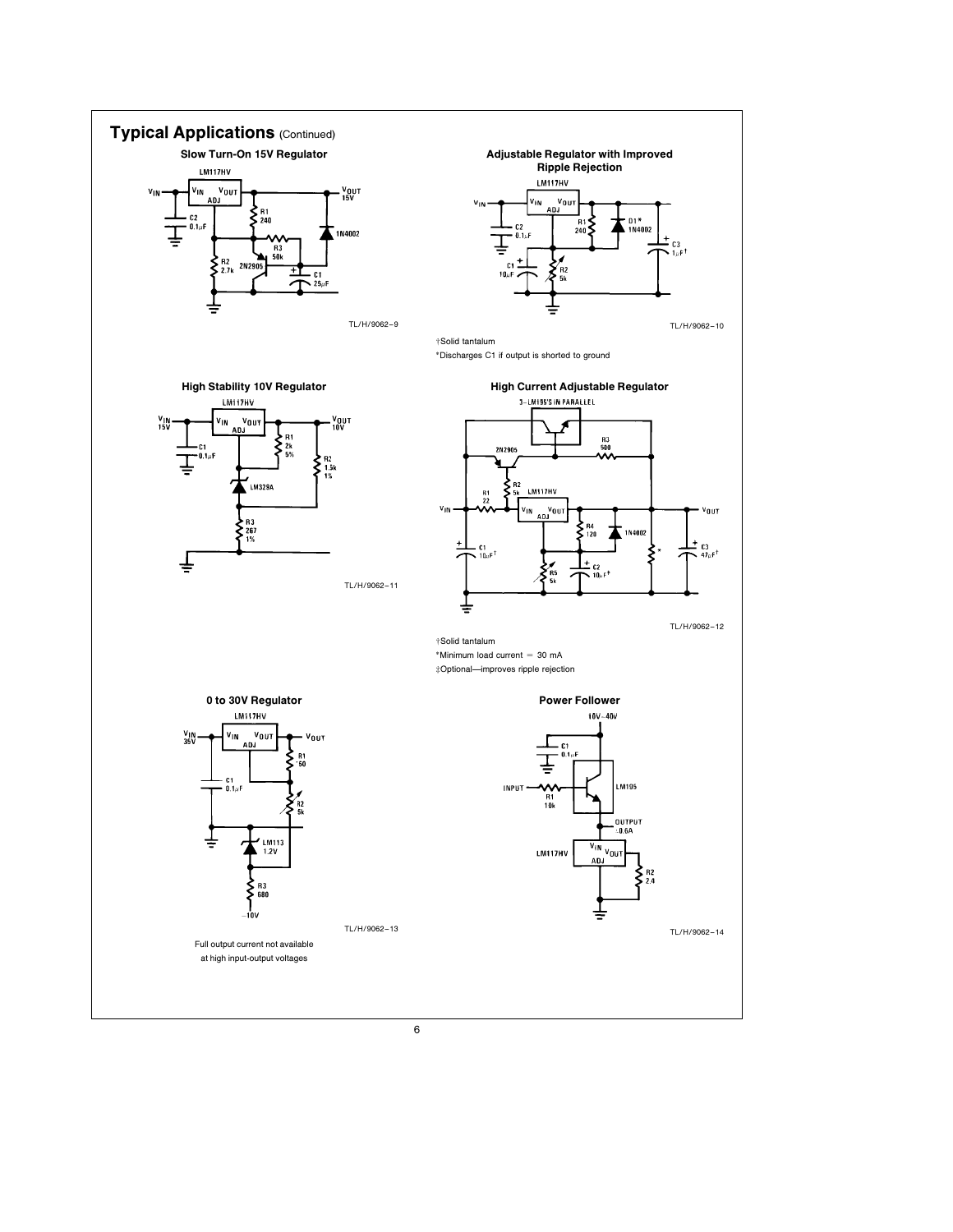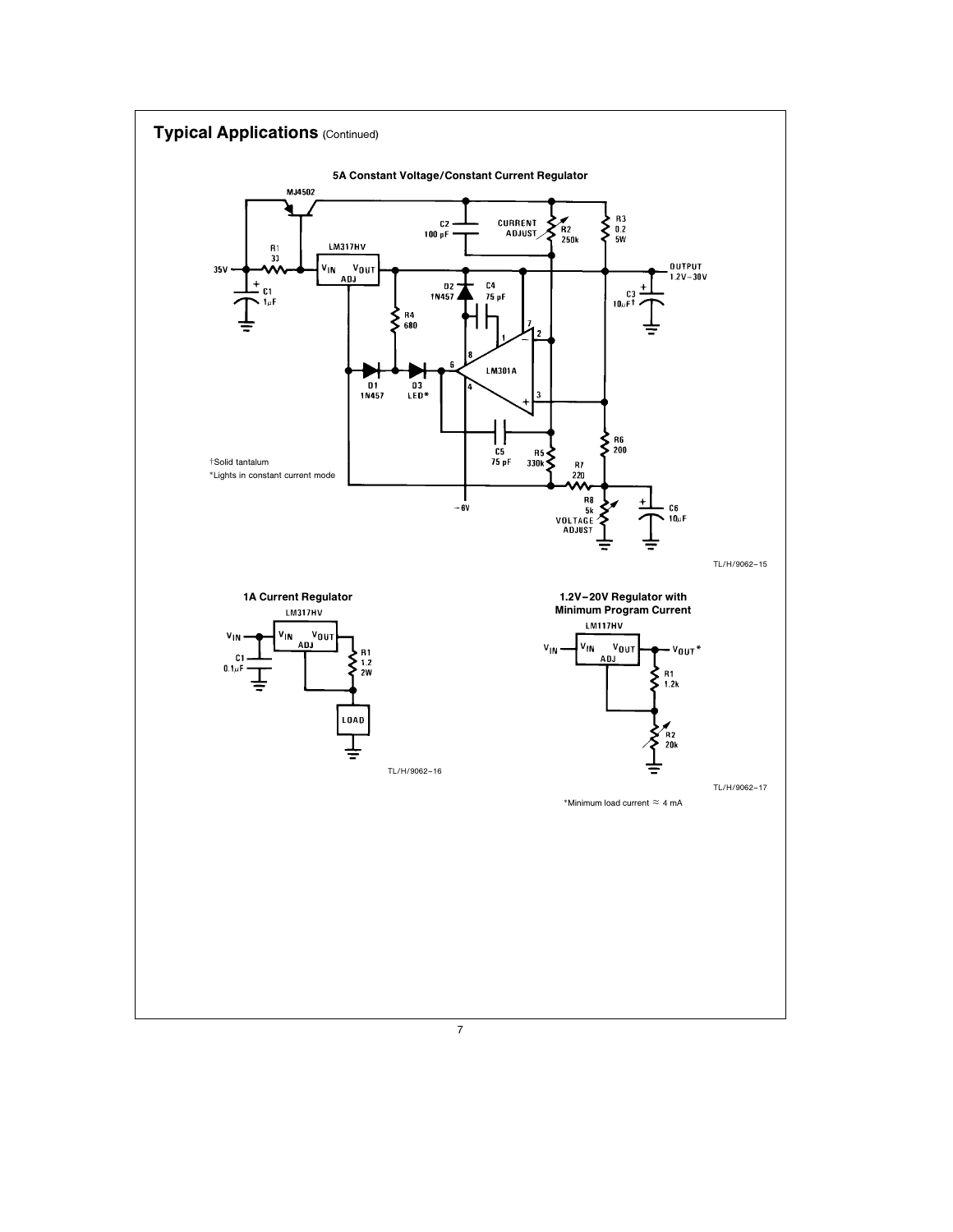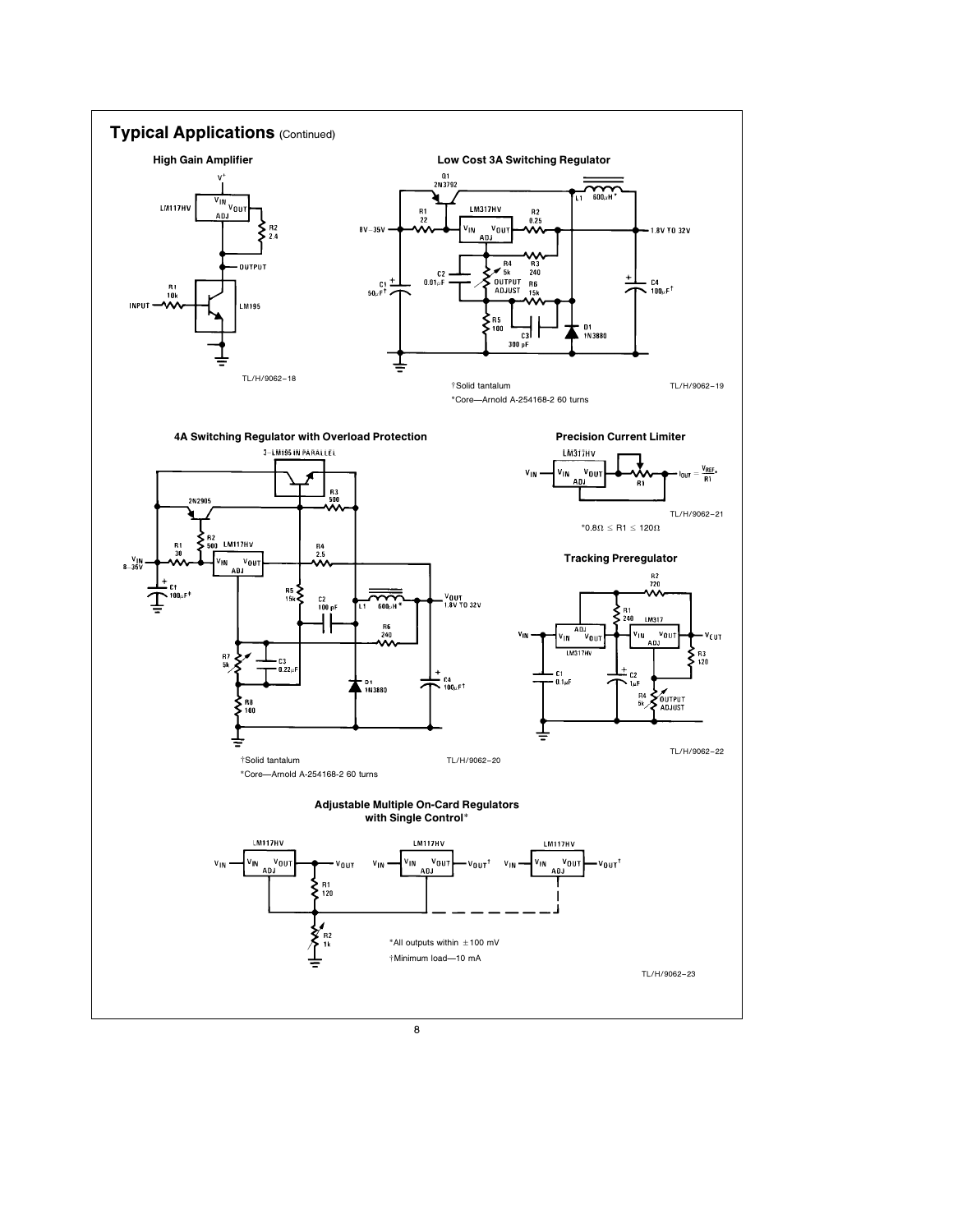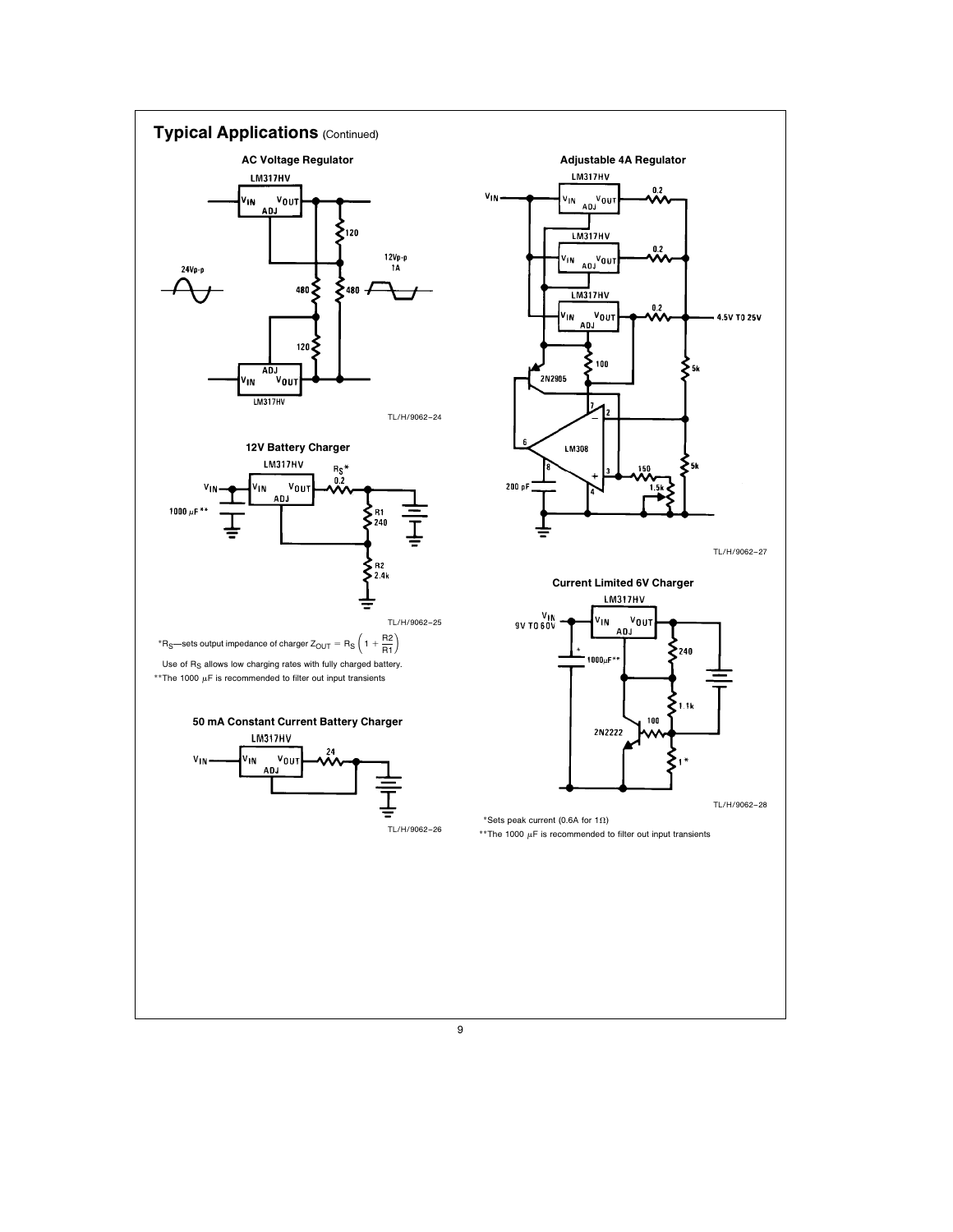

9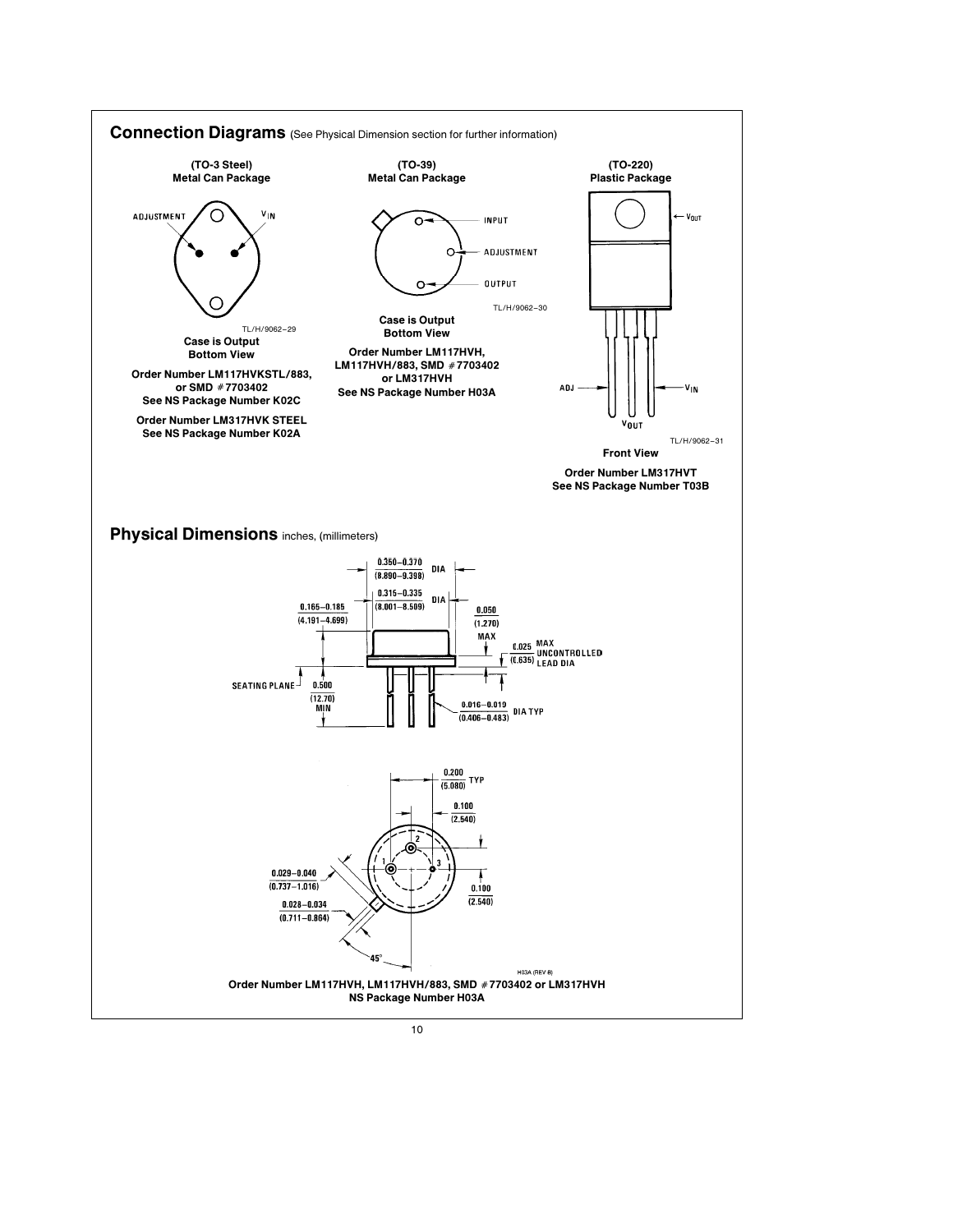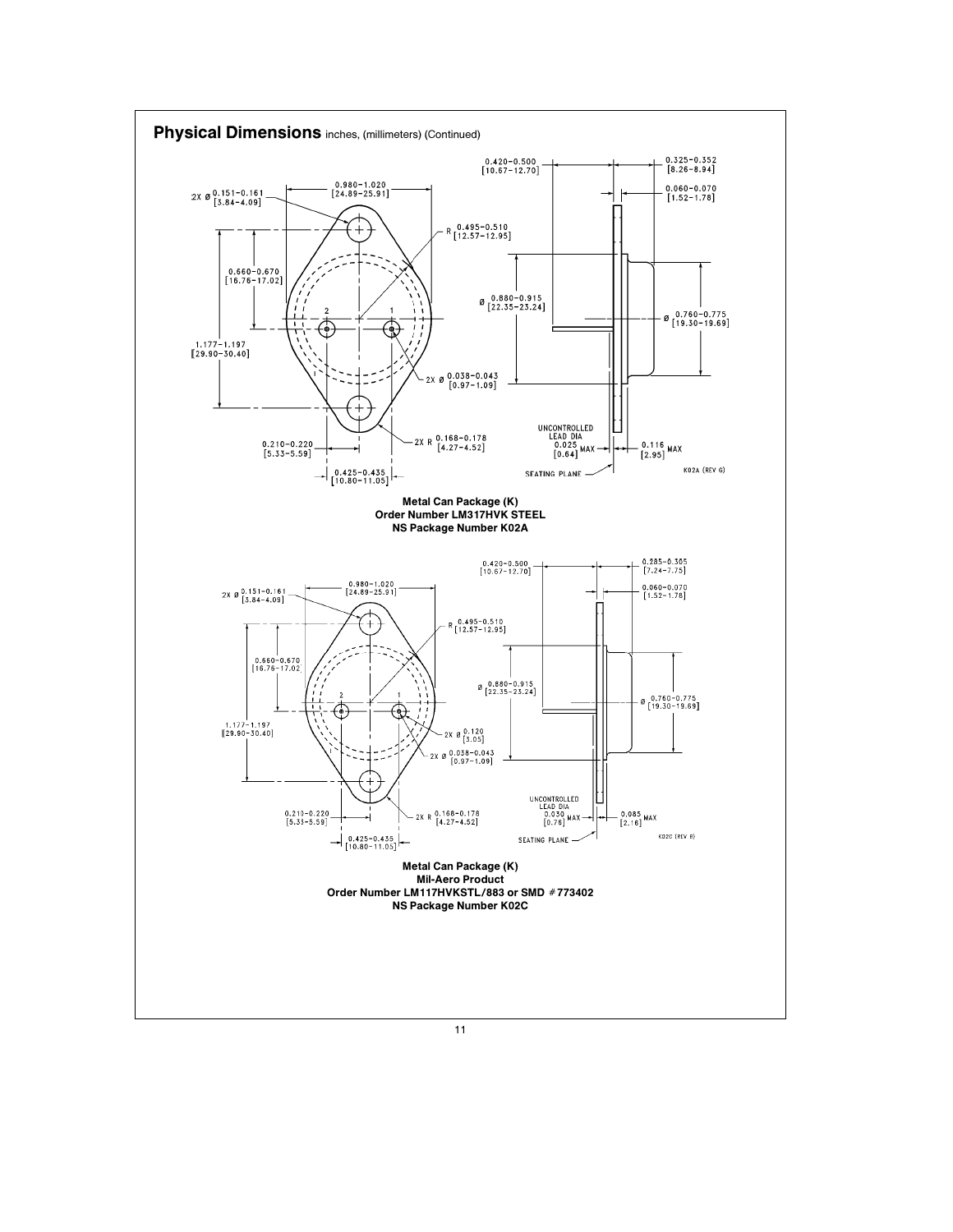